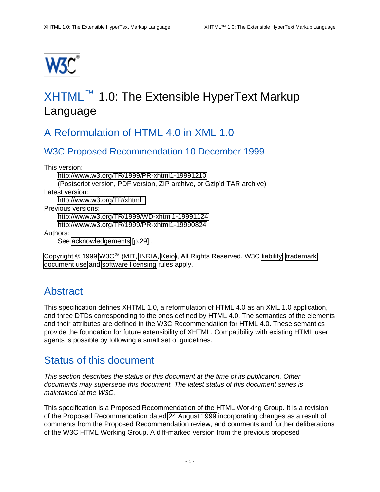

# XHTML™ 1.0: The Extensible HyperText Markup Language

## A Reformulation of HTML 4.0 in XML 1.0

### W3C Proposed Recommendation 10 December 1999

This version:

<http://www.w3.org/TR/1999/PR-xhtml1-19991210> (Postscript version, PDF version, ZIP archive, or Gzip'd TAR archive) Latest version: <http://www.w3.org/TR/xhtml1> Previous versions: <http://www.w3.org/TR/1999/WD-xhtml1-19991124> <http://www.w3.org/TR/1999/PR-xhtml1-19990824> Authors: See [acknowledgements](#page-28-0) [p.29] .

[Copyright](http://www.w3.org/Consortium/Legal/ipr-notice#Copyright) © 1999 [W3C](http://www.w3.org/)® [\(MIT,](http://www.lcs.mit.edu/) [INRIA,](http://www.inria.fr/) [Keio\)](http://www.keio.ac.jp/), All Rights Reserved. W3C [liability,](http://www.w3.org/Consortium/Legal/ipr-notice#Legal_Disclaimer) [trademark,](http://www.w3.org/Consortium/Legal/ipr-notice#W3C_Trademarks) [document use](http://www.w3.org/Consortium/Legal/copyright-documents) and [software licensing](http://www.w3.org/Consortium/Legal/copyright-software) rules apply.

## Abstract

This specification defines XHTML 1.0, a reformulation of HTML 4.0 as an XML 1.0 application, and three DTDs corresponding to the ones defined by HTML 4.0. The semantics of the elements and their attributes are defined in the W3C Recommendation for HTML 4.0. These semantics provide the foundation for future extensibility of XHTML. Compatibility with existing HTML user agents is possible by following a small set of guidelines.

## Status of this document

This section describes the status of this document at the time of its publication. Other documents may supersede this document. The latest status of this document series is maintained at the W3C.

This specification is a Proposed Recommendation of the HTML Working Group. It is a revision of the Proposed Recommendation dated [24 August 1999](http://www.w3.org/TR/1999/PR-xhtml1-19990824/) incorporating changes as a result of comments from the Proposed Recommendation review, and comments and further deliberations of the W3C HTML Working Group. A diff-marked version from the previous proposed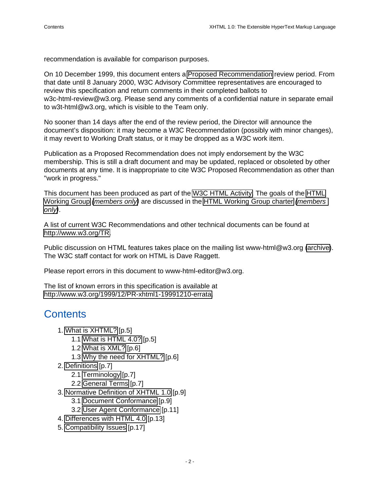recommendation is available for comparison purposes.

On 10 December 1999, this document enters a [Proposed Recommendation](http://www.w3.org/Consortium/Process/#RecsPR) review period. From that date until 8 January 2000, W3C Advisory Committee representatives are encouraged to review this specification and return comments in their completed ballots to w3c-html-review@w3.org. Please send any comments of a confidential nature in separate email to w3t-html@w3.org, which is visible to the Team only.

No sooner than 14 days after the end of the review period, the Director will announce the document's disposition: it may become a W3C Recommendation (possibly with minor changes), it may revert to Working Draft status, or it may be dropped as a W3C work item.

Publication as a Proposed Recommendation does not imply endorsement by the W3C membership. This is still a draft document and may be updated, replaced or obsoleted by other documents at any time. It is inappropriate to cite W3C Proposed Recommendation as other than "work in progress."

This document has been produced as part of the [W3C HTML Activity.](http://www.w3.org/MarkUp/) The goals of the [HTML](http://www.w3.org/MarkUp/Group/) [Working Group](http://www.w3.org/MarkUp/Group/) [\(members only\)](http://cgi.w3.org/MemberAccess/) are discussed in the [HTML Working Group charter](http://www.w3.org/MarkUp/Group/HTMLcharter) [\(members](http://cgi.w3.org/MemberAccess/)  [only\)](http://cgi.w3.org/MemberAccess/).

A list of current W3C Recommendations and other technical documents can be found at [http://www.w3.org/TR.](http://www.w3.org/TR)

Public discussion on HTML features takes place on the mailing list www-html@w3.org [\(archive\)](http://lists.w3.org/Archives/Public/www-html/). The W3C staff contact for work on HTML is Dave Raggett.

Please report errors in this document to www-html-editor@w3.org.

The list of known errors in this specification is available at [http://www.w3.org/1999/12/PR-xhtml1-19991210-errata.](http://www.w3.org/1999/12/PR-xhtml1-19991210-errata)

### **Contents**

- 1. [What is XHTML?](#page-4-1) [p.5]
	- 1.1 [What is HTML 4.0?](#page-4-0) [p.5]
	- 1.2 [What is XML?](#page-5-1) [p.6]
	- 1.3 [Why the need for XHTML?](#page-5-0) [p.6]
- 2. [Definitions](#page-6-2) [p.7]
	- 2.1 [Terminology](#page-6-1) [p.7]
	- 2.2 [General Terms](#page-6-0) [p.7]
- 3. [Normative Definition of XHTML 1.0](#page-8-1) [p.9]
	- 3.1 [Document Conformance](#page-8-0) [p.9]
	- 3.2 [User Agent Conformance](#page-10-0) [p.11]
- 4. [Differences with HTML 4.0](#page-12-0) [p.13]
- 5. [Compatibility Issues](#page-16-0) [p.17]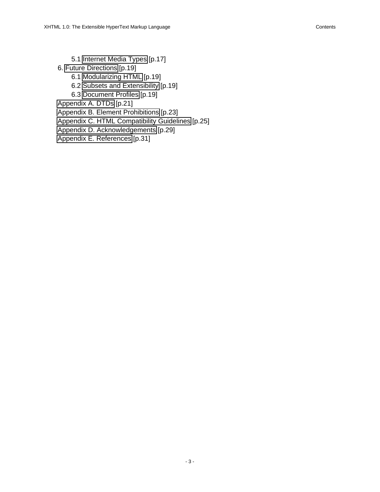5.1 [Internet Media Types](#page-16-1) [p.17] 6. [Future Directions](#page-18-3) [p.19] 6.1 [Modularizing HTML](#page-18-2) [p.19] 6.2 [Subsets and Extensibility](#page-18-1) [p.19] 6.3 [Document Profiles](#page-18-0) [p.19] [Appendix A. DTDs](#page-20-0) [p.21] [Appendix B. Element Prohibitions](#page-22-0) [p.23] [Appendix C. HTML Compatibility Guidelines](#page-24-0) [p.25] [Appendix D. Acknowledgements](#page-28-0) [p.29] [Appendix E. References](#page-30-0) [p.31]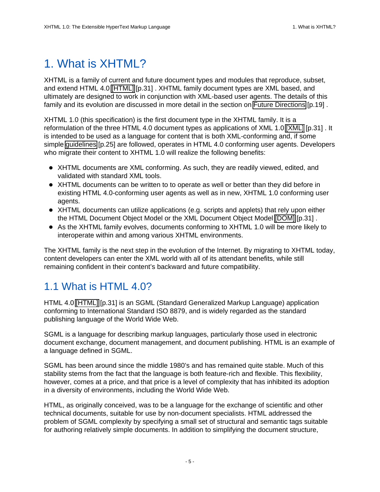# <span id="page-4-1"></span>1. What is XHTML?

XHTML is a family of current and future document types and modules that reproduce, subset, and extend HTML 4.0 [\[HTML\]](#page-30-1) [p.31] . XHTML family document types are XML based, and ultimately are designed to work in conjunction with XML-based user agents. The details of this family and its evolution are discussed in more detail in the section on [Future Directions](#page-18-3) [p.19] .

XHTML 1.0 (this specification) is the first document type in the XHTML family. It is a reformulation of the three HTML 4.0 document types as applications of XML 1.0 [\[XML\]](#page-30-3) [p.31] . It is intended to be used as a language for content that is both XML-conforming and, if some simple [guidelines](#page-24-0) [p.25] are followed, operates in HTML 4.0 conforming user agents. Developers who migrate their content to XHTML 1.0 will realize the following benefits:

- XHTML documents are XML conforming. As such, they are readily viewed, edited, and validated with standard XML tools.
- XHTML documents can be written to to operate as well or better than they did before in existing HTML 4.0-conforming user agents as well as in new, XHTML 1.0 conforming user agents.
- XHTML documents can utilize applications (e.g. scripts and applets) that rely upon either the HTML Document Object Model or the XML Document Object Model [\[DOM\]](#page-30-2) [p.31] .
- As the XHTML family evolves, documents conforming to XHTML 1.0 will be more likely to interoperate within and among various XHTML environments.

The XHTML family is the next step in the evolution of the Internet. By migrating to XHTML today, content developers can enter the XML world with all of its attendant benefits, while still remaining confident in their content's backward and future compatibility.

## <span id="page-4-0"></span>1.1 What is HTML 4.0?

HTML 4.0 [\[HTML\]](#page-30-1) [p.31] is an SGML (Standard Generalized Markup Language) application conforming to International Standard ISO 8879, and is widely regarded as the standard publishing language of the World Wide Web.

SGML is a language for describing markup languages, particularly those used in electronic document exchange, document management, and document publishing. HTML is an example of a language defined in SGML.

SGML has been around since the middle 1980's and has remained quite stable. Much of this stability stems from the fact that the language is both feature-rich and flexible. This flexibility, however, comes at a price, and that price is a level of complexity that has inhibited its adoption in a diversity of environments, including the World Wide Web.

HTML, as originally conceived, was to be a language for the exchange of scientific and other technical documents, suitable for use by non-document specialists. HTML addressed the problem of SGML complexity by specifying a small set of structural and semantic tags suitable for authoring relatively simple documents. In addition to simplifying the document structure,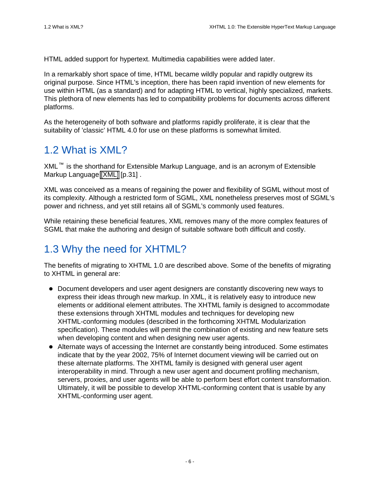HTML added support for hypertext. Multimedia capabilities were added later.

In a remarkably short space of time, HTML became wildly popular and rapidly outgrew its original purpose. Since HTML's inception, there has been rapid invention of new elements for use within HTML (as a standard) and for adapting HTML to vertical, highly specialized, markets. This plethora of new elements has led to compatibility problems for documents across different platforms.

As the heterogeneity of both software and platforms rapidly proliferate, it is clear that the suitability of 'classic' HTML 4.0 for use on these platforms is somewhat limited.

## <span id="page-5-1"></span>1.2 What is XML?

XML™ is the shorthand for Extensible Markup Language, and is an acronym of Extensible Markup Language [\[XML\]](#page-30-3) [p.31] .

XML was conceived as a means of regaining the power and flexibility of SGML without most of its complexity. Although a restricted form of SGML, XML nonetheless preserves most of SGML's power and richness, and yet still retains all of SGML's commonly used features.

While retaining these beneficial features, XML removes many of the more complex features of SGML that make the authoring and design of suitable software both difficult and costly.

# <span id="page-5-0"></span>1.3 Why the need for XHTML?

The benefits of migrating to XHTML 1.0 are described above. Some of the benefits of migrating to XHTML in general are:

- Document developers and user agent designers are constantly discovering new ways to express their ideas through new markup. In XML, it is relatively easy to introduce new elements or additional element attributes. The XHTML family is designed to accommodate these extensions through XHTML modules and techniques for developing new XHTML-conforming modules (described in the forthcoming XHTML Modularization specification). These modules will permit the combination of existing and new feature sets when developing content and when designing new user agents.
- Alternate ways of accessing the Internet are constantly being introduced. Some estimates indicate that by the year 2002, 75% of Internet document viewing will be carried out on these alternate platforms. The XHTML family is designed with general user agent interoperability in mind. Through a new user agent and document profiling mechanism, servers, proxies, and user agents will be able to perform best effort content transformation. Ultimately, it will be possible to develop XHTML-conforming content that is usable by any XHTML-conforming user agent.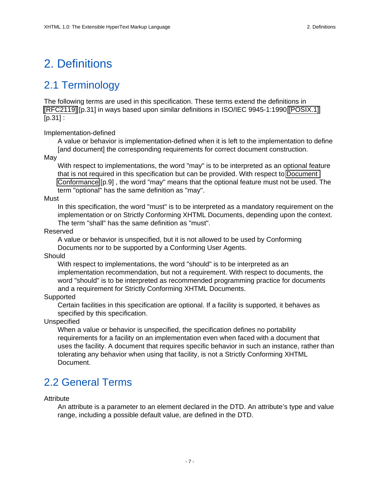# <span id="page-6-2"></span>2. Definitions

### <span id="page-6-1"></span>2.1 Terminology

The following terms are used in this specification. These terms extend the definitions in [\[RFC2119\]](#page-30-5) [p.31] in ways based upon similar definitions in ISO/IEC 9945-1:1990 [\[POSIX.1\]](#page-30-4)  $[p.31]$  :

Implementation-defined

A value or behavior is implementation-defined when it is left to the implementation to define [and document] the corresponding requirements for correct document construction.

May

With respect to implementations, the word "may" is to be interpreted as an optional feature that is not required in this specification but can be provided. With respect to [Document](#page-8-0)  [Conformance](#page-8-0) [p.9] , the word "may" means that the optional feature must not be used. The term "optional" has the same definition as "may".

Must

In this specification, the word "must" is to be interpreted as a mandatory requirement on the implementation or on Strictly Conforming XHTML Documents, depending upon the context. The term "shall" has the same definition as "must".

#### Reserved

A value or behavior is unspecified, but it is not allowed to be used by Conforming Documents nor to be supported by a Conforming User Agents.

Should

With respect to implementations, the word "should" is to be interpreted as an implementation recommendation, but not a requirement. With respect to documents, the word "should" is to be interpreted as recommended programming practice for documents and a requirement for Strictly Conforming XHTML Documents.

#### Supported

Certain facilities in this specification are optional. If a facility is supported, it behaves as specified by this specification.

#### Unspecified

When a value or behavior is unspecified, the specification defines no portability requirements for a facility on an implementation even when faced with a document that uses the facility. A document that requires specific behavior in such an instance, rather than tolerating any behavior when using that facility, is not a Strictly Conforming XHTML Document.

### <span id="page-6-0"></span>2.2 General Terms

Attribute

An attribute is a parameter to an element declared in the DTD. An attribute's type and value range, including a possible default value, are defined in the DTD.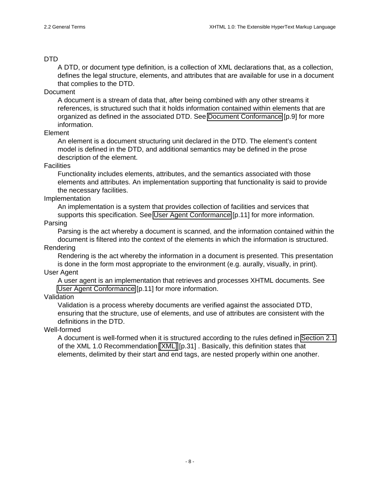#### DTD

A DTD, or document type definition, is a collection of XML declarations that, as a collection, defines the legal structure, elements, and attributes that are available for use in a document that complies to the DTD.

#### **Document**

A document is a stream of data that, after being combined with any other streams it references, is structured such that it holds information contained within elements that are organized as defined in the associated DTD. See [Document Conformance](#page-8-0) [p.9] for more information.

#### Element

An element is a document structuring unit declared in the DTD. The element's content model is defined in the DTD, and additional semantics may be defined in the prose description of the element.

#### <span id="page-7-0"></span>**Facilities**

Functionality includes elements, attributes, and the semantics associated with those elements and attributes. An implementation supporting that functionality is said to provide the necessary facilities.

#### Implementation

An implementation is a system that provides collection of facilities and services that supports this specification. See [User Agent Conformance](#page-10-0) [p.11] for more information.

Parsing

Parsing is the act whereby a document is scanned, and the information contained within the document is filtered into the context of the elements in which the information is structured.

#### Rendering

Rendering is the act whereby the information in a document is presented. This presentation is done in the form most appropriate to the environment (e.g. aurally, visually, in print).

#### User Agent

A user agent is an implementation that retrieves and processes XHTML documents. See [User Agent Conformance](#page-10-0) [p.11] for more information.

#### Validation

Validation is a process whereby documents are verified against the associated DTD, ensuring that the structure, use of elements, and use of attributes are consistent with the definitions in the DTD.

### <span id="page-7-1"></span>Well-formed

A document is well-formed when it is structured according to the rules defined in [Section 2.1](http://www.w3.org/TR/REC-xml#sec-well-formed) of the XML 1.0 Recommendation [\[XML\]](#page-30-3) [p.31] . Basically, this definition states that elements, delimited by their start and end tags, are nested properly within one another.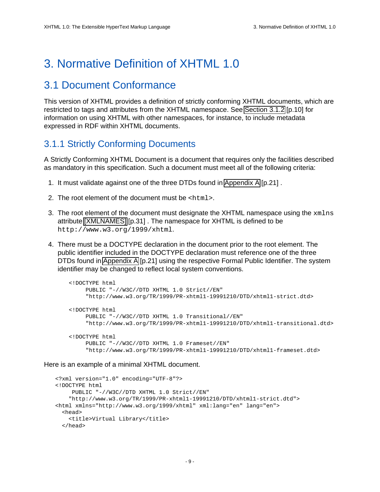# <span id="page-8-1"></span>3. Normative Definition of XHTML 1.0

### <span id="page-8-0"></span>3.1 Document Conformance

This version of XHTML provides a definition of strictly conforming XHTML documents, which are restricted to tags and attributes from the XHTML namespace. See [Section 3.1.2](#page-9-0) [p.10] for information on using XHTML with other namespaces, for instance, to include metadata expressed in RDF within XHTML documents.

### 3.1.1 Strictly Conforming Documents

A Strictly Conforming XHTML Document is a document that requires only the facilities described as mandatory in this specification. Such a document must meet all of the following criteria:

- 1. It must validate against one of the three DTDs found in [Appendix A](#page-20-0) [p.21] .
- 2. The root element of the document must be <html>.
- 3. The root element of the document must designate the XHTML namespace using the  $xmlns$ attribute [\[XMLNAMES\]](#page-30-6) [p.31] . The namespace for XHTML is defined to be http://www.w3.org/1999/xhtml.
- 4. There must be a DOCTYPE declaration in the document prior to the root element. The public identifier included in the DOCTYPE declaration must reference one of the three DTDs found in [Appendix A](#page-20-0) [p.21] using the respective Formal Public Identifier. The system identifier may be changed to reflect local system conventions.

```
<!DOCTYPE html 
      PUBLIC "-//W3C//DTD XHTML 1.0 Strict//EN"
      "http://www.w3.org/TR/1999/PR-xhtml1-19991210/DTD/xhtml1-strict.dtd>
<!DOCTYPE html 
      PUBLIC "-//W3C//DTD XHTML 1.0 Transitional//EN"
      "http://www.w3.org/TR/1999/PR-xhtml1-19991210/DTD/xhtml1-transitional.dtd>
<!DOCTYPE html 
      PUBLIC "-//W3C//DTD XHTML 1.0 Frameset//EN"
      "http://www.w3.org/TR/1999/PR-xhtml1-19991210/DTD/xhtml1-frameset.dtd>
```
Here is an example of a minimal XHTML document.

```
<?xml version="1.0" encoding="UTF-8"?>
<!DOCTYPE html 
      PUBLIC "-//W3C//DTD XHTML 1.0 Strict//EN"
     "http://www.w3.org/TR/1999/PR-xhtml1-19991210/DTD/xhtml1-strict.dtd">
<html xmlns="http://www.w3.org/1999/xhtml" xml:lang="en" lang="en">
   <head>
     <title>Virtual Library</title>
   </head>
```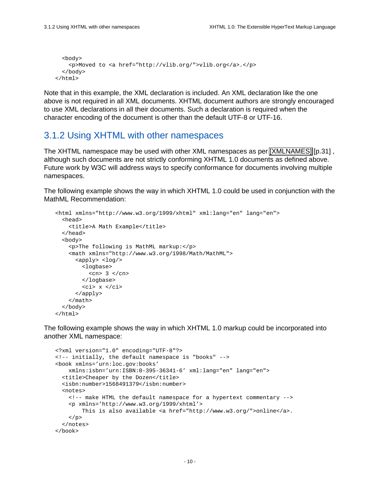```
 <body>
    <p>Moved to <a href="http://vlib.org/">vlib.org</a>.</p>
  </body>
</html>
```
Note that in this example, the XML declaration is included. An XML declaration like the one above is not required in all XML documents. XHTML document authors are strongly encouraged to use XML declarations in all their documents. Such a declaration is required when the character encoding of the document is other than the default UTF-8 or UTF-16.

### <span id="page-9-0"></span>3.1.2 Using XHTML with other namespaces

The XHTML namespace may be used with other XML namespaces as per [\[XMLNAMES\]](#page-30-6) [p.31] , although such documents are not strictly conforming XHTML 1.0 documents as defined above. Future work by W3C will address ways to specify conformance for documents involving multiple namespaces.

The following example shows the way in which XHTML 1.0 could be used in conjunction with the MathML Recommendation:

```
<html xmlns="http://www.w3.org/1999/xhtml" xml:lang="en" lang="en">
   <head>
     <title>A Math Example</title>
   </head>
   <body>
     <p>The following is MathML markup:</p>
     <math xmlns="http://www.w3.org/1998/Math/MathML">
       <apply> <log/>
         <logbase>
          <cn> 3 </cn>
         </logbase>
         <ci> x </ci>
       </apply>
    \langle/math>
   </body>
</html>
```
The following example shows the way in which XHTML 1.0 markup could be incorporated into another XML namespace:

```
<?xml version="1.0" encoding="UTF-8"?>
<!-- initially, the default namespace is "books" -->
<book xmlns='urn:loc.gov:books'
     xmlns:isbn='urn:ISBN:0-395-36341-6' xml:lang="en" lang="en">
   <title>Cheaper by the Dozen</title>
   <isbn:number>1568491379</isbn:number>
   <notes>
     <!-- make HTML the default namespace for a hypertext commentary -->
     <p xmlns='http://www.w3.org/1999/xhtml'>
         This is also available <a href="http://www.w3.org/">online</a>.
    \langle/p>
   </notes>
</book>
```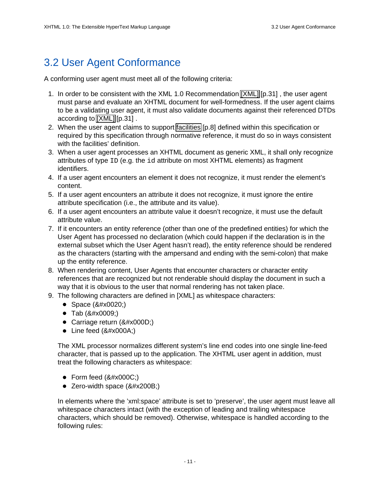## <span id="page-10-0"></span>3.2 User Agent Conformance

A conforming user agent must meet all of the following criteria:

- 1. In order to be consistent with the XML 1.0 Recommendation [\[XML\]](#page-30-3) [p.31] , the user agent must parse and evaluate an XHTML document for well-formedness. If the user agent claims to be a validating user agent, it must also validate documents against their referenced DTDs according to [\[XML\]](#page-30-3) [p.31] .
- 2. When the user agent claims to support [facilities](#page-7-0) [p.8] defined within this specification or required by this specification through normative reference, it must do so in ways consistent with the facilities' definition.
- 3. When a user agent processes an XHTML document as generic XML, it shall only recognize attributes of type ID (e.g. the id attribute on most XHTML elements) as fragment identifiers.
- 4. If a user agent encounters an element it does not recognize, it must render the element's content.
- 5. If a user agent encounters an attribute it does not recognize, it must ignore the entire attribute specification (i.e., the attribute and its value).
- 6. If a user agent encounters an attribute value it doesn't recognize, it must use the default attribute value.
- 7. If it encounters an entity reference (other than one of the predefined entities) for which the User Agent has processed no declaration (which could happen if the declaration is in the external subset which the User Agent hasn't read), the entity reference should be rendered as the characters (starting with the ampersand and ending with the semi-colon) that make up the entity reference.
- 8. When rendering content, User Agents that encounter characters or character entity references that are recognized but not renderable should display the document in such a way that it is obvious to the user that normal rendering has not taken place.
- 9. The following characters are defined in [XML] as whitespace characters:
	- Space  $(8#x0020)$
	- Tab  $(&\#x0009)$
	- Carriage return (
	)
	- $\bullet$  Line feed ( $&\#x000A$ ;)

The XML processor normalizes different system's line end codes into one single line-feed character, that is passed up to the application. The XHTML user agent in addition, must treat the following characters as whitespace:

- $\bullet$  Form feed ()
- Zero-width space  $(8#x200B)$

In elements where the 'xml:space' attribute is set to 'preserve', the user agent must leave all whitespace characters intact (with the exception of leading and trailing whitespace characters, which should be removed). Otherwise, whitespace is handled according to the following rules: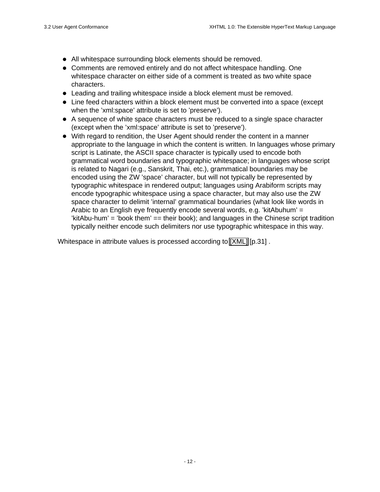- All whitespace surrounding block elements should be removed.
- Comments are removed entirely and do not affect whitespace handling. One whitespace character on either side of a comment is treated as two white space characters.
- Leading and trailing whitespace inside a block element must be removed.
- Line feed characters within a block element must be converted into a space (except when the 'xml:space' attribute is set to 'preserve').
- A sequence of white space characters must be reduced to a single space character (except when the 'xml:space' attribute is set to 'preserve').
- With regard to rendition, the User Agent should render the content in a manner appropriate to the language in which the content is written. In languages whose primary script is Latinate, the ASCII space character is typically used to encode both grammatical word boundaries and typographic whitespace; in languages whose script is related to Nagari (e.g., Sanskrit, Thai, etc.), grammatical boundaries may be encoded using the ZW 'space' character, but will not typically be represented by typographic whitespace in rendered output; languages using Arabiform scripts may encode typographic whitespace using a space character, but may also use the ZW space character to delimit 'internal' grammatical boundaries (what look like words in Arabic to an English eye frequently encode several words, e.g. 'kitAbuhum' =  $'$ kitAbu-hum' = 'book them' == their book); and languages in the Chinese script tradition typically neither encode such delimiters nor use typographic whitespace in this way.

Whitespace in attribute values is processed according to [\[XML\]](#page-30-3) [p.31] .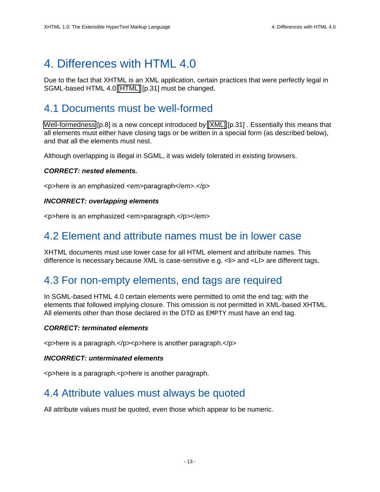# <span id="page-12-0"></span>4. Differences with HTML 4.0

Due to the fact that XHTML is an XML application, certain practices that were perfectly legal in SGML-based HTML 4.0 [\[HTML\]](#page-30-1) [p.31] must be changed.

### 4.1 Documents must be well-formed

[Well-formedness](#page-7-1)  $[p.8]$  is a new concept introduced by [\[XML\]](#page-30-3) [p.31] . Essentially this means that all elements must either have closing tags or be written in a special form (as described below), and that all the elements must nest.

Although overlapping is illegal in SGML, it was widely tolerated in existing browsers.

### **CORRECT: nested elements.**

<p>here is an emphasized <em>paragraph</em>.</p>

#### **INCORRECT: overlapping elements**

<p>here is an emphasized <em>paragraph.</p></em>

### 4.2 Element and attribute names must be in lower case

XHTML documents must use lower case for all HTML element and attribute names. This difference is necessary because XML is case-sensitive e.g. <li> and <LI> are different tags.

### 4.3 For non-empty elements, end tags are required

In SGML-based HTML 4.0 certain elements were permitted to omit the end tag; with the elements that followed implying closure. This omission is not permitted in XML-based XHTML. All elements other than those declared in the DTD as EMPTY must have an end tag.

#### **CORRECT: terminated elements**

<p>here is a paragraph.</p><p>here is another paragraph.</p>

#### **INCORRECT: unterminated elements**

<p>here is a paragraph.<p>here is another paragraph.

### 4.4 Attribute values must always be quoted

All attribute values must be quoted, even those which appear to be numeric.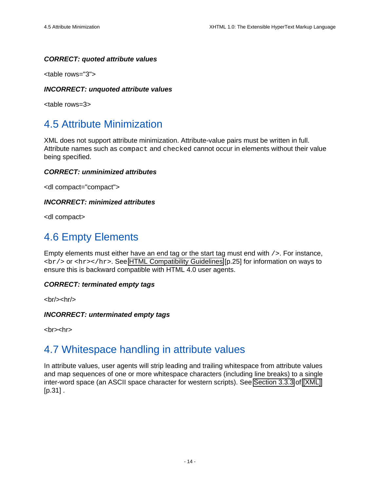#### **CORRECT: quoted attribute values**

<table rows="3">

#### **INCORRECT: unquoted attribute values**

<table rows=3>

### 4.5 Attribute Minimization

XML does not support attribute minimization. Attribute-value pairs must be written in full. Attribute names such as compact and checked cannot occur in elements without their value being specified.

#### **CORRECT: unminimized attributes**

<dl compact="compact">

#### **INCORRECT: minimized attributes**

<dl compact>

### 4.6 Empty Elements

Empty elements must either have an end tag or the start tag must end with  $\rightarrow$ . For instance,  $\langle$ br/> or  $\langle$ hr> $\langle$ /hr>. See [HTML Compatibility Guidelines](#page-24-0) [p.25] for information on ways to ensure this is backward compatible with HTML 4.0 user agents.

#### **CORRECT: terminated empty tags**

<hr/>><hr/>

#### **INCORRECT: unterminated empty tags**

<hr><hr>

### 4.7 Whitespace handling in attribute values

In attribute values, user agents will strip leading and trailing whitespace from attribute values and map sequences of one or more whitespace characters (including line breaks) to a single inter-word space (an ASCII space character for western scripts). See [Section 3.3.3](http://www.w3.org/TR/REC-xml#AVNormalize) of [\[XML\]](#page-30-3) [p.31] .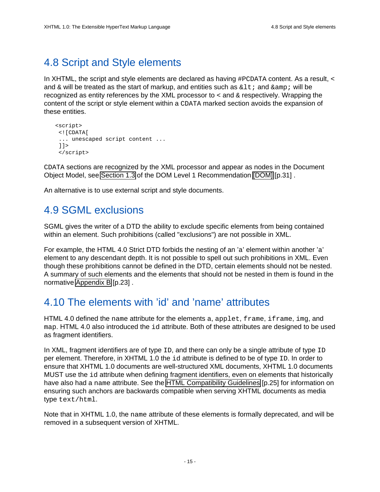### 4.8 Script and Style elements

In XHTML, the script and style elements are declared as having #PCDATA content. As a result, < and  $\&$  will be treated as the start of markup, and entities such as  $\&1 \text{ t}$ ; and  $\& \text{amp}$ ; will be recognized as entity references by the XML processor to  $\epsilon$  and  $\alpha$  respectively. Wrapping the content of the script or style element within a CDATA marked section avoids the expansion of these entities.

```
<script>
 <![CDATA[
  ... unescaped script content ...
]] >
  </script>
```
CDATA sections are recognized by the XML processor and appear as nodes in the Document Object Model, see [Section 1.3](http://www.w3.org/TR/REC-DOM-Level-1/level-one-core.html#ID-E067D597) of the DOM Level 1 Recommendation [\[DOM\]](#page-30-2) [p.31] .

An alternative is to use external script and style documents.

### <span id="page-14-0"></span>4.9 SGML exclusions

SGML gives the writer of a DTD the ability to exclude specific elements from being contained within an element. Such prohibitions (called "exclusions") are not possible in XML.

For example, the HTML 4.0 Strict DTD forbids the nesting of an 'a' element within another 'a' element to any descendant depth. It is not possible to spell out such prohibitions in XML. Even though these prohibitions cannot be defined in the DTD, certain elements should not be nested. A summary of such elements and the elements that should not be nested in them is found in the normative [Appendix B](#page-22-0) [p.23] .

### 4.10 The elements with 'id' and 'name' attributes

HTML 4.0 defined the name attribute for the elements a, applet, frame, iframe, img, and map. HTML 4.0 also introduced the id attribute. Both of these attributes are designed to be used as fragment identifiers.

In XML, fragment identifiers are of type  $ID$ , and there can only be a single attribute of type  $ID$ per element. Therefore, in XHTML 1.0 the id attribute is defined to be of type ID. In order to ensure that XHTML 1.0 documents are well-structured XML documents, XHTML 1.0 documents MUST use the id attribute when defining fragment identifiers, even on elements that historically have also had a name attribute. See the [HTML Compatibility Guidelines](#page-24-0) [p.25] for information on ensuring such anchors are backwards compatible when serving XHTML documents as media type text/html.

Note that in XHTML 1.0, the name attribute of these elements is formally deprecated, and will be removed in a subsequent version of XHTML.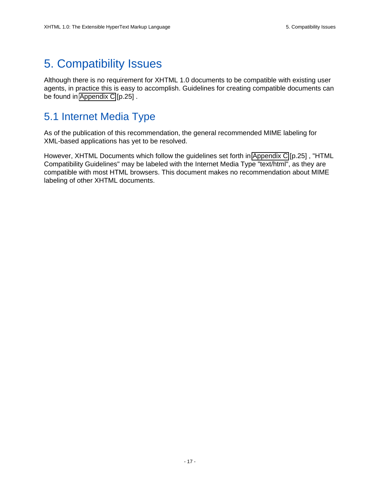# <span id="page-16-0"></span>5. Compatibility Issues

Although there is no requirement for XHTML 1.0 documents to be compatible with existing user agents, in practice this is easy to accomplish. Guidelines for creating compatible documents can be found in [Appendix C](#page-24-0) [p.25] .

### <span id="page-16-1"></span>5.1 Internet Media Type

As of the publication of this recommendation, the general recommended MIME labeling for XML-based applications has yet to be resolved.

However, XHTML Documents which follow the guidelines set forth in [Appendix C](#page-24-0) [p.25] , "HTML Compatibility Guidelines" may be labeled with the Internet Media Type "text/html", as they are compatible with most HTML browsers. This document makes no recommendation about MIME labeling of other XHTML documents.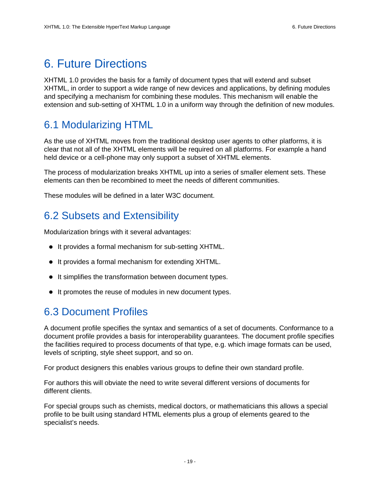# <span id="page-18-3"></span>6. Future Directions

XHTML 1.0 provides the basis for a family of document types that will extend and subset XHTML, in order to support a wide range of new devices and applications, by defining modules and specifying a mechanism for combining these modules. This mechanism will enable the extension and sub-setting of XHTML 1.0 in a uniform way through the definition of new modules.

### <span id="page-18-2"></span>6.1 Modularizing HTML

As the use of XHTML moves from the traditional desktop user agents to other platforms, it is clear that not all of the XHTML elements will be required on all platforms. For example a hand held device or a cell-phone may only support a subset of XHTML elements.

The process of modularization breaks XHTML up into a series of smaller element sets. These elements can then be recombined to meet the needs of different communities.

These modules will be defined in a later W3C document.

### <span id="page-18-1"></span>6.2 Subsets and Extensibility

Modularization brings with it several advantages:

- $\bullet$  It provides a formal mechanism for sub-setting XHTML.
- $\bullet$  It provides a formal mechanism for extending XHTML.
- **•** It simplifies the transformation between document types.
- It promotes the reuse of modules in new document types.

### <span id="page-18-0"></span>6.3 Document Profiles

A document profile specifies the syntax and semantics of a set of documents. Conformance to a document profile provides a basis for interoperability guarantees. The document profile specifies the facilities required to process documents of that type, e.g. which image formats can be used, levels of scripting, style sheet support, and so on.

For product designers this enables various groups to define their own standard profile.

For authors this will obviate the need to write several different versions of documents for different clients.

For special groups such as chemists, medical doctors, or mathematicians this allows a special profile to be built using standard HTML elements plus a group of elements geared to the specialist's needs.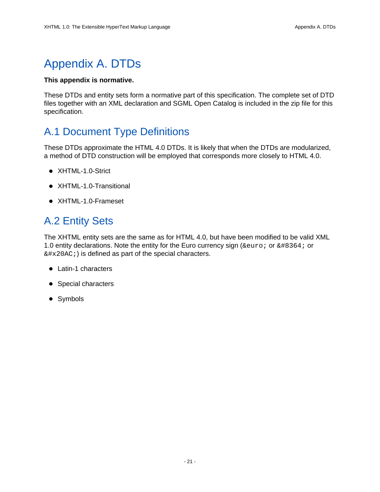# <span id="page-20-0"></span>Appendix A. DTDs

#### **This appendix is normative.**

These DTDs and entity sets form a normative part of this specification. The complete set of DTD files together with an XML declaration and SGML Open Catalog is included in the zip file for this specification.

### A.1 Document Type Definitions

These DTDs approximate the HTML 4.0 DTDs. It is likely that when the DTDs are modularized, a method of DTD construction will be employed that corresponds more closely to HTML 4.0.

- XHTML-1.0-Strict
- XHTML-1.0-Transitional
- XHTML-1.0-Frameset

### A.2 Entity Sets

The XHTML entity sets are the same as for HTML 4.0, but have been modified to be valid XML 1.0 entity declarations. Note the entity for the Euro currency sign ( $\&$ euro; or  $\&$ #8364; or  $& #x20AC$ ;) is defined as part of the special characters.

- Latin-1 characters
- Special characters
- Symbols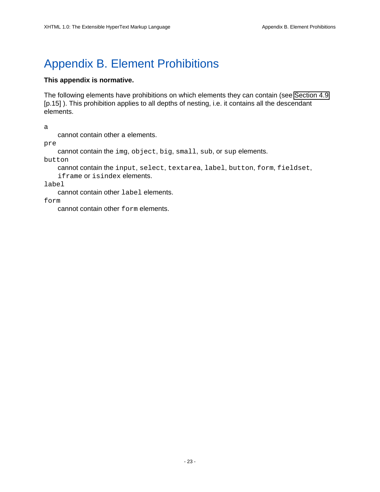# <span id="page-22-0"></span>Appendix B. Element Prohibitions

### **This appendix is normative.**

The following elements have prohibitions on which elements they can contain (see [Section 4.9](#page-14-0) [p.15]). This prohibition applies to all depths of nesting, i.e. it contains all the descendant elements.

a

cannot contain other a elements.

pre

cannot contain the img, object, big, small, sub, or sup elements.

button

cannot contain the input, select, textarea, label, button, form, fieldset,

iframe or isindex elements.

label

cannot contain other label elements.

form

cannot contain other form elements.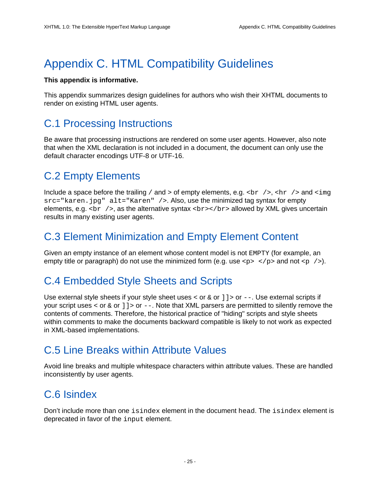# <span id="page-24-0"></span>Appendix C. HTML Compatibility Guidelines

#### **This appendix is informative.**

This appendix summarizes design guidelines for authors who wish their XHTML documents to render on existing HTML user agents.

## C.1 Processing Instructions

Be aware that processing instructions are rendered on some user agents. However, also note that when the XML declaration is not included in a document, the document can only use the default character encodings UTF-8 or UTF-16.

### C.2 Empty Elements

Include a space before the trailing / and > of empty elements, e.g.  $\langle$ br />,  $\langle$ hr /> and  $\langle$ img src="karen.jpg" alt="Karen" />. Also, use the minimized tag syntax for empty elements, e.g.  $\langle$ br  $/$ >, as the alternative syntax  $\langle$ br> $\rangle$  allowed by XML gives uncertain results in many existing user agents.

### C.3 Element Minimization and Empty Element Content

Given an empty instance of an element whose content model is not EMPTY (for example, an empty title or paragraph) do not use the minimized form (e.g. use  $\langle p \rangle \langle p \rangle$  and not  $\langle p \rangle$ ).

### C.4 Embedded Style Sheets and Scripts

Use external style sheets if your style sheet uses  $\lt$  or  $\&$  or ] ] > or --. Use external scripts if your script uses  $\lt$  or  $\&$  or  $\cdot$  ]  $\gt$  or  $\text{-}$ . Note that XML parsers are permitted to silently remove the contents of comments. Therefore, the historical practice of "hiding" scripts and style sheets within comments to make the documents backward compatible is likely to not work as expected in XML-based implementations.

### C.5 Line Breaks within Attribute Values

Avoid line breaks and multiple whitespace characters within attribute values. These are handled inconsistently by user agents.

## C.6 Isindex

Don't include more than one isindex element in the document head. The isindex element is deprecated in favor of the input element.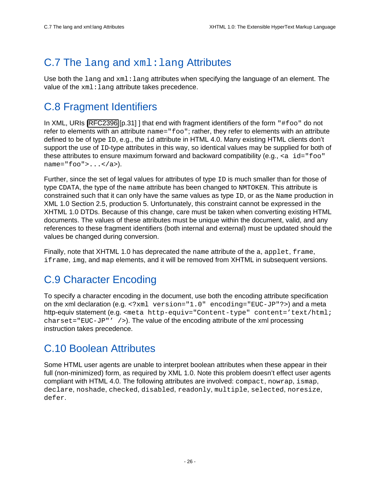## C.7 The lang and xml: lang Attributes

Use both the lang and xml: lang attributes when specifying the language of an element. The value of the  $xml:$  lang attribute takes precedence.

## C.8 Fragment Identifiers

In XML, URIs [\[RFC2396](#page-30-7) [p.31] ] that end with fragment identifiers of the form "#foo" do not refer to elements with an attribute  $name="footnotesize{for "f loop";}$  rather, they refer to elements with an attribute defined to be of type ID, e.g., the id attribute in HTML 4.0. Many existing HTML clients don't support the use of ID-type attributes in this way, so identical values may be supplied for both of these attributes to ensure maximum forward and backward compatibility (e.g.,  $\le a$  id="foo" name="foo"> $\dots$  </a>).

Further, since the set of legal values for attributes of type ID is much smaller than for those of type CDATA, the type of the name attribute has been changed to NMTOKEN. This attribute is constrained such that it can only have the same values as type ID, or as the Name production in XML 1.0 Section 2.5, production 5. Unfortunately, this constraint cannot be expressed in the XHTML 1.0 DTDs. Because of this change, care must be taken when converting existing HTML documents. The values of these attributes must be unique within the document, valid, and any references to these fragment identifiers (both internal and external) must be updated should the values be changed during conversion.

Finally, note that XHTML 1.0 has deprecated the name attribute of the a, applet, frame, if rame, img, and map elements, and it will be removed from XHTML in subsequent versions.

# C.9 Character Encoding

To specify a character encoding in the document, use both the encoding attribute specification on the xml declaration (e.g. <?xml version="1.0" encoding="EUC-JP"?>) and a meta http-equiv statement (e.g. <meta http-equiv="Content-type" content='text/html;  ${\rm charge}t = "EUC-JP"$  / >). The value of the encoding attribute of the xml processing instruction takes precedence.

# C.10 Boolean Attributes

Some HTML user agents are unable to interpret boolean attributes when these appear in their full (non-minimized) form, as required by XML 1.0. Note this problem doesn't effect user agents compliant with HTML 4.0. The following attributes are involved: compact, nowrap, ismap, declare, noshade, checked, disabled, readonly, multiple, selected, noresize, defer.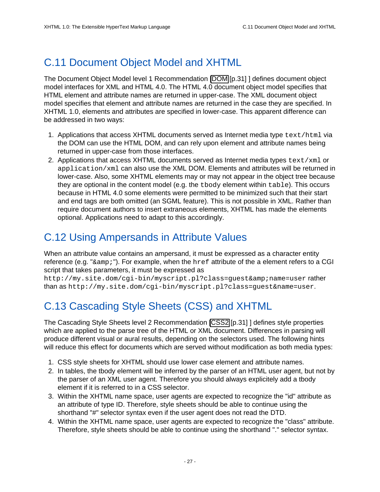### C.11 Document Object Model and XHTML

The Document Object Model level 1 Recommendation [\[DOM](#page-30-2) [p.31] ] defines document object model interfaces for XML and HTML 4.0. The HTML 4.0 document object model specifies that HTML element and attribute names are returned in upper-case. The XML document object model specifies that element and attribute names are returned in the case they are specified. In XHTML 1.0, elements and attributes are specified in lower-case. This apparent difference can be addressed in two ways:

- 1. Applications that access XHTML documents served as Internet media type text/html via the DOM can use the HTML DOM, and can rely upon element and attribute names being returned in upper-case from those interfaces.
- 2. Applications that access XHTML documents served as Internet media types  $text{text}/xml$  or application/xml can also use the XML DOM. Elements and attributes will be returned in lower-case. Also, some XHTML elements may or may not appear in the object tree because they are optional in the content model (e.g. the tbody element within table). This occurs because in HTML 4.0 some elements were permitted to be minimized such that their start and end tags are both omitted (an SGML feature). This is not possible in XML. Rather than require document authors to insert extraneous elements, XHTML has made the elements optional. Applications need to adapt to this accordingly.

## C.12 Using Ampersands in Attribute Values

When an attribute value contains an ampersand, it must be expressed as a character entity reference (e.g. " $\& i$ "). For example, when the  $h$ ref attribute of the a element refers to a CGI script that takes parameters, it must be expressed as

http://my.site.dom/cqi-bin/myscript.pl?class=quest&name=user rather than as http://my.site.dom/cgi-bin/myscript.pl?class=guest&name=user.

# C.13 Cascading Style Sheets (CSS) and XHTML

The Cascading Style Sheets level 2 Recommendation [\[CSS2](#page-30-8) [p.31] ] defines style properties which are applied to the parse tree of the HTML or XML document. Differences in parsing will produce different visual or aural results, depending on the selectors used. The following hints will reduce this effect for documents which are served without modification as both media types:

- 1. CSS style sheets for XHTML should use lower case element and attribute names.
- 2. In tables, the tbody element will be inferred by the parser of an HTML user agent, but not by the parser of an XML user agent. Therefore you should always explicitely add a tbody element if it is referred to in a CSS selector.
- 3. Within the XHTML name space, user agents are expected to recognize the "id" attribute as an attribute of type ID. Therefore, style sheets should be able to continue using the shorthand "#" selector syntax even if the user agent does not read the DTD.
- 4. Within the XHTML name space, user agents are expected to recognize the "class" attribute. Therefore, style sheets should be able to continue using the shorthand "." selector syntax.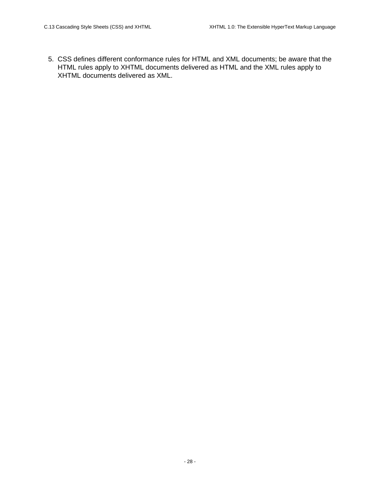5. CSS defines different conformance rules for HTML and XML documents; be aware that the HTML rules apply to XHTML documents delivered as HTML and the XML rules apply to XHTML documents delivered as XML.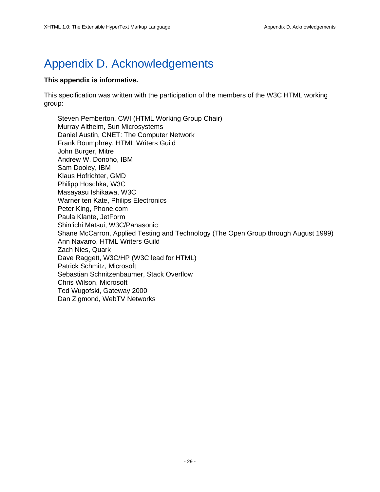# <span id="page-28-0"></span>Appendix D. Acknowledgements

#### **This appendix is informative.**

This specification was written with the participation of the members of the W3C HTML working group:

Steven Pemberton, CWI (HTML Working Group Chair) Murray Altheim, Sun Microsystems Daniel Austin, CNET: The Computer Network Frank Boumphrey, HTML Writers Guild John Burger, Mitre Andrew W. Donoho, IBM Sam Dooley, IBM Klaus Hofrichter, GMD Philipp Hoschka, W3C Masayasu Ishikawa, W3C Warner ten Kate, Philips Electronics Peter King, Phone.com Paula Klante, JetForm Shin'ichi Matsui, W3C/Panasonic Shane McCarron, Applied Testing and Technology (The Open Group through August 1999) Ann Navarro, HTML Writers Guild Zach Nies, Quark Dave Raggett, W3C/HP (W3C lead for HTML) Patrick Schmitz, Microsoft Sebastian Schnitzenbaumer, Stack Overflow Chris Wilson, Microsoft Ted Wugofski, Gateway 2000 Dan Zigmond, WebTV Networks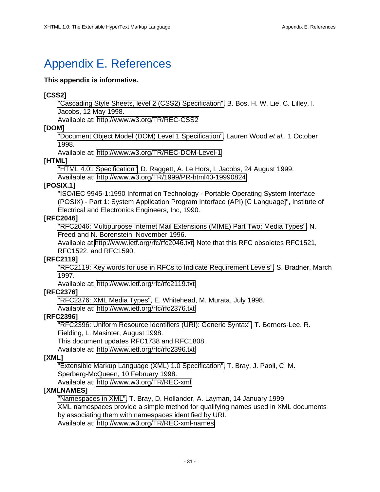# <span id="page-30-0"></span>Appendix E. References

#### **This appendix is informative.**

### <span id="page-30-8"></span>**[CSS2]**

["Cascading Style Sheets, level 2 \(CSS2\) Specification",](http://www.w3.org/TR/REC-CSS2) B. Bos, H. W. Lie, C. Lilley, I. Jacobs, 12 May 1998.

Available at:<http://www.w3.org/TR/REC-CSS2>

### <span id="page-30-2"></span>**[DOM]**

["Document Object Model \(DOM\) Level 1 Specification",](http://www.w3.org/TR/REC-DOM-Level-1) Lauren Wood et al., 1 October 1998.

Available at:<http://www.w3.org/TR/REC-DOM-Level-1>

#### <span id="page-30-1"></span>**[HTML]**

["HTML 4.01 Specification",](http://www.w3.org/TR/1999/PR-html40-19990824) D. Raggett, A. Le Hors, I. Jacobs, 24 August 1999. Available at:<http://www.w3.org/TR/1999/PR-html40-19990824>

### <span id="page-30-4"></span>**[POSIX.1]**

"ISO/IEC 9945-1:1990 Information Technology - Portable Operating System Interface (POSIX) - Part 1: System Application Program Interface (API) [C Language]", Institute of Electrical and Electronics Engineers, Inc, 1990.

### **[RFC2046]**

["RFC2046: Multipurpose Internet Mail Extensions \(MIME\) Part Two: Media Types",](http://www.ietf.org/rfc/rfc2046.txt) N. Freed and N. Borenstein, November 1996.

Available at [http://www.ietf.org/rfc/rfc2046.txt.](http://www.ietf.org/rfc/rfc2046.txt) Note that this RFC obsoletes RFC1521, RFC1522, and RFC1590.

### <span id="page-30-5"></span>**[RFC2119]**

["RFC2119: Key words for use in RFCs to Indicate Requirement Levels",](http://www.ietf.org/rfc/rfc2119.txt) S. Bradner, March 1997.

Available at:<http://www.ietf.org/rfc/rfc2119.txt>

### **[RFC2376]**

["RFC2376: XML Media Types",](http://www.ietf.org/rfc/rfc2376.txt) E. Whitehead, M. Murata, July 1998.

Available at:<http://www.ietf.org/rfc/rfc2376.txt>

### <span id="page-30-7"></span>**[RFC2396]**

["RFC2396: Uniform Resource Identifiers \(URI\): Generic Syntax",](http://www.ietf.org/rfc/rfc2396.txt) T. Berners-Lee, R. Fielding, L. Masinter, August 1998.

This document updates RFC1738 and RFC1808.

Available at:<http://www.ietf.org/rfc/rfc2396.txt>

### <span id="page-30-3"></span>**[XML]**

["Extensible Markup Language \(XML\) 1.0 Specification",](http://www.w3.org/TR/REC-xml) T. Bray, J. Paoli, C. M. Sperberg-McQueen, 10 February 1998.

Available at:<http://www.w3.org/TR/REC-xml>

### <span id="page-30-6"></span>**[XMLNAMES]**

["Namespaces in XML",](http://www.w3.org/TR/REC-xml-names) T. Bray, D. Hollander, A. Layman, 14 January 1999.

XML namespaces provide a simple method for qualifying names used in XML documents by associating them with namespaces identified by URI.

Available at:<http://www.w3.org/TR/REC-xml-names>